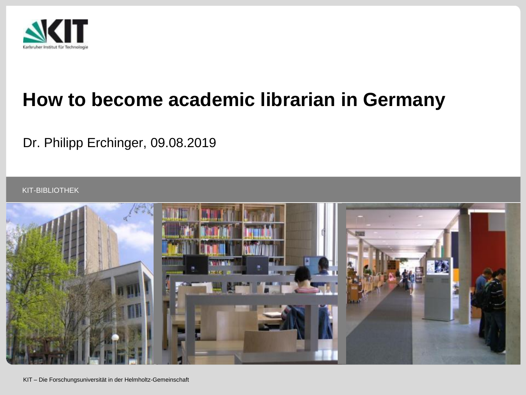

# **How to become academic librarian in Germany**

### Dr. Philipp Erchinger, 09.08.2019

KIT-BIBLIOTHEK

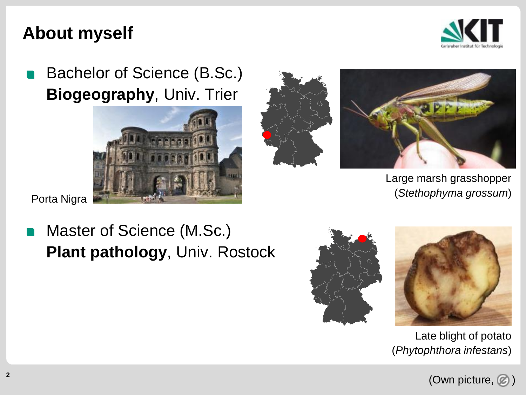### **About myself**



Bachelor of Science (B.Sc.) **Biogeography**, Univ. Trier





Large marsh grasshopper (*Stethophyma grossum*)

Porta Nigra

# Master of Science (M.Sc.) **Plant pathology**, Univ. Rostock





Late blight of potato (*Phytophthora infestans*)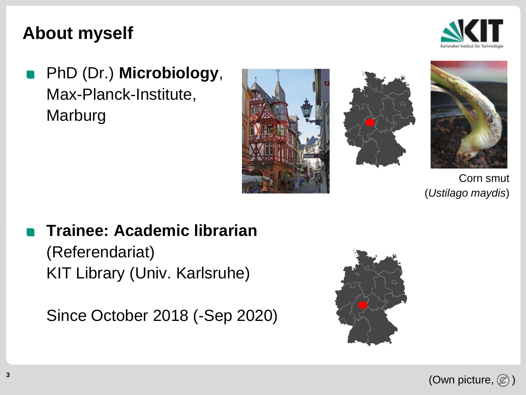### **About myself**



PhD (Dr.) **Microbiology**, Max-Planck-Institute, Marburg







Corn smut (*Ustilago maydis*)

## **Trainee: Academic librarian** (Referendariat)

KIT Library (Univ. Karlsruhe)

Since October 2018 (-Sep 2020)



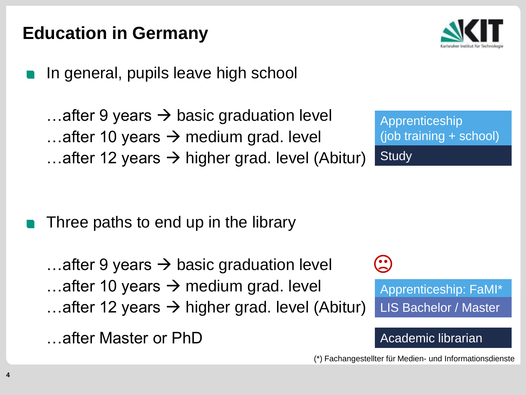# **Education in Germany**

In general, pupils leave high school

…after 9 years  $\rightarrow$  basic graduation level ...after 10 years  $\rightarrow$  medium grad. level ...after 12 years  $\rightarrow$  higher grad. level (Abitur)

Three paths to end up in the library

…after 9 years  $\rightarrow$  basic graduation level ...after 10 years  $\rightarrow$  medium grad. level ...after 12 years  $\rightarrow$  higher grad. level (Abitur)

…after Master or PhD

Apprenticeship (job training + school) **Study** 



#### Academic librarian

(\*) Fachangestellter für Medien- und Informationsdienste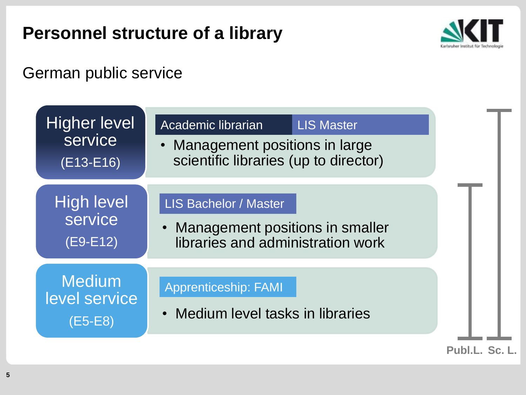# **Personnel structure of a library**



### German public service

| <b>Higher level</b><br>service<br>$(E13-E16)$ | Academic librarian<br>Management positions in large<br>$\bullet$<br>scientific libraries (up to director) | <b>LIS Master</b> |                |
|-----------------------------------------------|-----------------------------------------------------------------------------------------------------------|-------------------|----------------|
| <b>High level</b><br>service<br>$(E9-E12)$    | <b>LIS Bachelor / Master</b><br>Management positions in smaller<br>libraries and administration work      |                   |                |
| <b>Medium</b><br>level service<br>(E5-E8)     | <b>Apprenticeship: FAMI</b><br>Medium level tasks in libraries                                            |                   |                |
|                                               |                                                                                                           |                   | Publ.L. Sc. L. |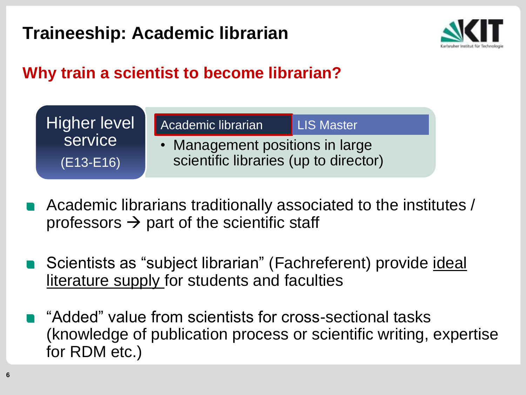

### **Why train a scientist to become librarian?**



- If  $\sigma$  and  $\sigma$  scientific start Academic librarians traditionally associated to the institutes /  $\frac{1}{2}$  part of the scientific staff
- literature supply for students and faculties level service Scientists as "subject librarian" (Fachreferent) provide ideal
- "Added" value from scientists for cross-sectional tasks (knowledge of publication process or scientific writing, expertise for RDM etc.)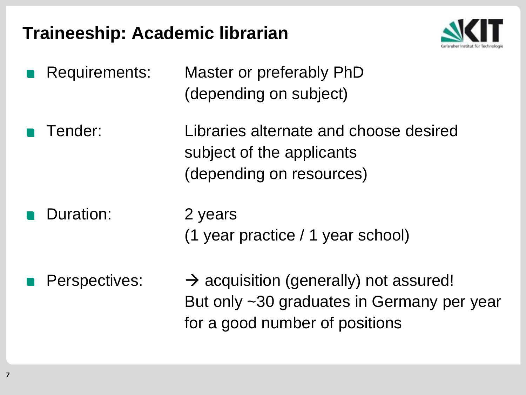

- Requirements: Master or preferably PhD (depending on subject)
- Tender: Libraries alternate and choose desired subject of the applicants (depending on resources)
	- Duration: 2 years (1 year practice / 1 year school)
	- Perspectives:  $\rightarrow$  acquisition (generally) not assured! But only ~30 graduates in Germany per year for a good number of positions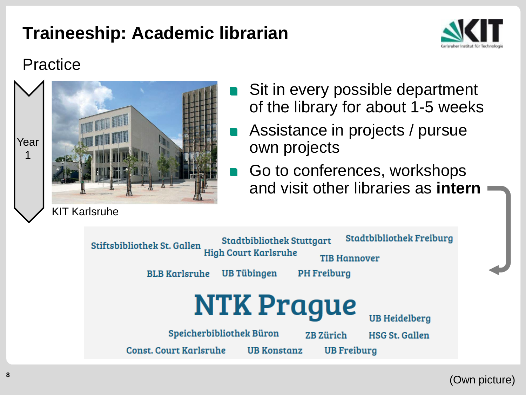

### Practice



- Sit in every possible department of the library for about 1-5 weeks
- Assistance in projects / pursue own projects
- Go to conferences, workshops and visit other libraries as **intern**



(Own picture)